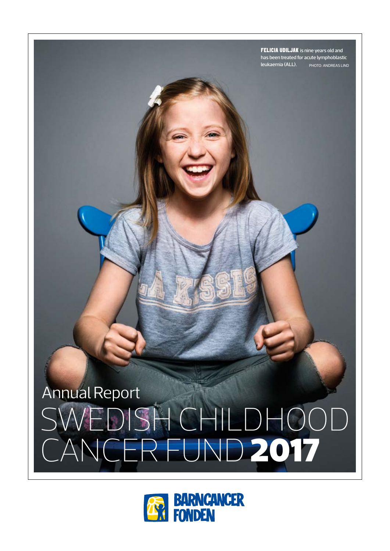

# SWEDISH CHILDHOOD VCER FUND 2017 Annual Report

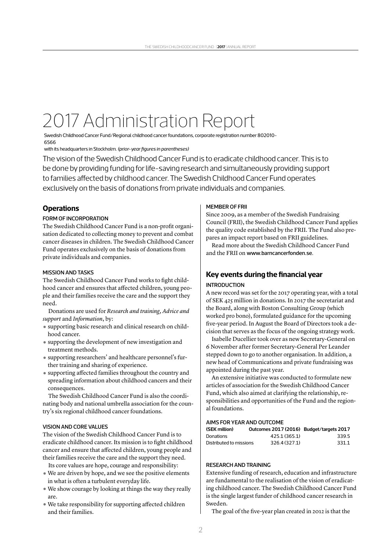## 2017 Administration Report

Swedish Childhood Cancer Fund/Regional childhood cancer foundations, corporate registration number 802010- 6566

with its headquarters in Stockholm. *(prior-year figures in parentheses)*

The vision of the Swedish Childhood Cancer Fund is to eradicate childhood cancer. This is to be done by providing funding for life-saving research and simultaneously providing support to families affected by childhood cancer. The Swedish Childhood Cancer Fund operates exclusively on the basis of donations from private individuals and companies.

## **Operations**

### FORM OF INCORPORATION

The Swedish Childhood Cancer Fund is a non-profit organisation dedicated to collecting money to prevent and combat cancer diseases in children. The Swedish Childhood Cancer Fund operates exclusively on the basis of donations from private individuals and companies.

#### MISSION AND TASKS

The Swedish Childhood Cancer Fund works to fight childhood cancer and ensures that affected children, young people and their families receive the care and the support they need.

Donations are used for *Research and training, Advice and support* and *Information*, by:

- $\bullet$  supporting basic research and clinical research on childhood cancer.
- $\bullet$  supporting the development of new investigation and treatment methods.
- supporting researchers' and healthcare personnel's further training and sharing of experience.
- $\bullet$  supporting affected families throughout the country and spreading information about childhood cancers and their consequences.

The Swedish Childhood Cancer Fund is also the coordinating body and national umbrella association for the country's six regional childhood cancer foundations.

### VISION AND CORE VALUES

The vision of the Swedish Childhood Cancer Fund is to eradicate childhood cancer. Its mission is to fight childhood cancer and ensure that affected children, young people and their families receive the care and the support they need.

Its core values are hope, courage and responsibility:

- $\bullet$  We are driven by hope, and we see the positive elements in what is often a turbulent everyday life.
- $\bullet$  We show courage by looking at things the way they really are.
- $\bullet$  We take responsibility for supporting affected children and their families.

#### MEMBER OF FRII

Since 2009, as a member of the Swedish Fundraising Council (FRII), the Swedish Childhood Cancer Fund applies the quality code established by the FRII. The Fund also prepares an impact report based on FRII guidelines.

Read more about the Swedish Childhood Cancer Fund and the FRII on www.barncancerfonden.se.

## **Key events during the financial year**

#### **INTRODUCTION**

A new record was set for the 2017 operating year, with a total of SEK 425 million in donations. In 2017 the secretariat and the Board, along with Boston Consulting Group (which worked pro bono), formulated guidance for the upcoming five-year period. In August the Board of Directors took a decision that serves as the focus of the ongoing strategy work.

Isabelle Ducellier took over as new Secretary-General on 6 November after former Secretary-General Per Leander stepped down to go to another organisation. In addition, a new head of Communications and private fundraising was appointed during the past year.

An extensive initiative was conducted to formulate new articles of association for the Swedish Childhood Cancer Fund, which also aimed at clarifying the relationship, responsibilities and opportunities of the Fund and the regional foundations.

#### AIMS FOR YEAR AND OUTCOME

| (SEK million)           | Outcomes 2017 (2016) Budget/targets 2017 |       |
|-------------------------|------------------------------------------|-------|
| Donations               | 425.1 (365.1)                            | 339.5 |
| Distributed to missions | 326.4 (327.1)                            | 331 1 |

### RESEARCH AND TRAINING

Extensive funding of research, education and infrastructure are fundamental to the realisation of the vision of eradicating childhood cancer. The Swedish Childhood Cancer Fund is the single largest funder of childhood cancer research in Sweden.

The goal of the five-year plan created in 2012 is that the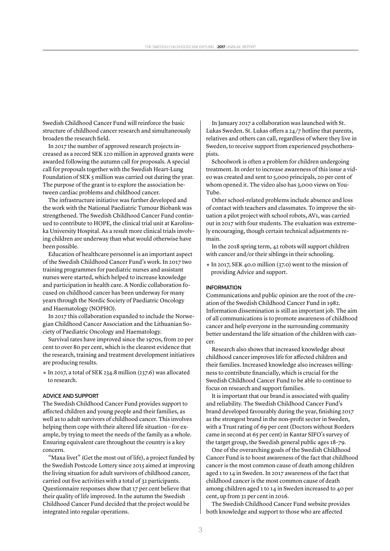Swedish Childhood Cancer Fund will reinforce the basic structure of childhood cancer research and simultaneously broaden the research field.

In 2017 the number of approved research projects increased as a record SEK 120 million in approved grants were awarded following the autumn call for proposals. A special call for proposals together with the Swedish Heart-Lung Foundation of SEK 5 million was carried out during the year. The purpose of the grant is to explore the association between cardiac problems and childhood cancer.

The infrastructure initiative was further developed and the work with the National Paediatric Tumour Biobank was strengthened. The Swedish Childhood Cancer Fund continued to contribute to HOPE, the clinical trial unit at Karolinska University Hospital. As a result more clinical trials involving children are underway than what would otherwise have been possible.

Education of healthcare personnel is an important aspect of the Swedish Childhood Cancer Fund's work. In 2017 two training programmes for paediatric nurses and assistant nurses were started, which helped to increase knowledge and participation in health care. A Nordic collaboration focused on childhood cancer has been underway for many years through the Nordic Society of Paediatric Oncology and Haematology (NOPHO).

In 2017 this collaboration expanded to include the Norwegian Childhood Cancer Association and the Lithuanian Society of Paediatric Oncology and Haematology.

Survival rates have improved since the 1970s, from 20 per cent to over 80 per cent, which is the clearest evidence that the research, training and treatment development initiatives are producing results.

 $\bullet$  In 2017, a total of SEK 234.8 million (237.6) was allocated to research.

#### ADVICE AND SUPPORT

The Swedish Childhood Cancer Fund provides support to affected children and young people and their families, as well as to adult survivors of childhood cancer. This involves helping them cope with their altered life situation – for example, by trying to meet the needs of the family as a whole. Ensuring equivalent care throughout the country is a key concern.

"Maxa livet" (Get the most out of life), a project funded by the Swedish Postcode Lottery since 2015 aimed at improving the living situation for adult survivors of childhood cancer, carried out five activities with a total of 32 participants. Questionnaire responses show that 17 per cent believe that their quality of life improved. In the autumn the Swedish Childhood Cancer Fund decided that the project would be integrated into regular operations.

In January 2017 a collaboration was launched with St. Lukas Sweden. St. Lukas offers a 24/7 hotline that parents, relatives and others can call, regardless of where they live in Sweden, to receive support from experienced psychotherapists.

Schoolwork is often a problem for children undergoing treatment. In order to increase awareness of this issue a video was created and sent to 5,000 principals, 20 per cent of whom opened it. The video also has 3,000 views on You-Tube.

Other school-related problems include absence and loss of contact with teachers and classmates. To improve the situation a pilot project with school robots, AV1, was carried out in 2017 with four students. The evaluation was extremely encouraging, though certain technical adjustments remain.

In the 2018 spring term, 42 robots will support children with cancer and/or their siblings in their schooling.

 $\bullet$  In 2017, SEK 40.0 million (37.0) went to the mission of providing Advice and support.

#### INFORMATION

Communications and public opinion are the root of the creation of the Swedish Childhood Cancer Fund in 1982. Information dissemination is still an important job. The aim of all communications is to promote awareness of childhood cancer and help everyone in the surrounding community better understand the life situation of the children with cancer.

Research also shows that increased knowledge about childhood cancer improves life for affected children and their families. Increased knowledge also increases willingness to contribute financially, which is crucial for the Swedish Childhood Cancer Fund to be able to continue to focus on research and support families.

It is important that our brand is associated with quality and reliability. The Swedish Childhood Cancer Fund's brand developed favourably during the year, finishing 2017 as the strongest brand in the non-profit sector in Sweden, with a Trust rating of 69 per cent (Doctors without Borders came in second at 65 per cent) in Kantar SIFO's survey of the target group, the Swedish general public ages 18–79.

One of the overarching goals of the Swedish Childhood Cancer Fund is to boost awareness of the fact that childhood cancer is the most common cause of death among children aged 1 to 14 in Sweden. In 2017 awareness of the fact that childhood cancer is the most common cause of death among children aged 1 to 14 in Sweden increased to 40 per cent, up from 31 per cent in 2016.

The Swedish Childhood Cancer Fund website provides both knowledge and support to those who are affected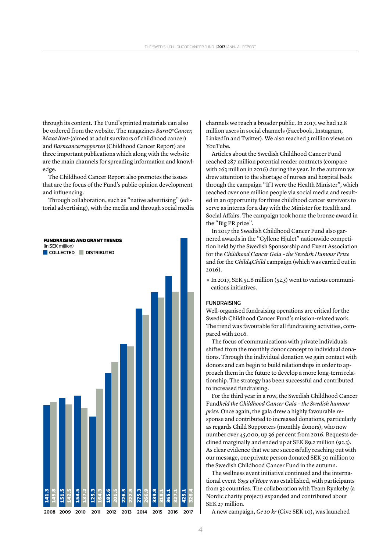through its content. The Fund's printed materials can also be ordered from the website. The magazines *Barn&Cancer*, *Maxa livet-*(aimed at adult survivors of childhood cancer) and *Barncancerrapporten* (Childhood Cancer Report) are three important publications which along with the website are the main channels for spreading information and knowledge.

The Childhood Cancer Report also promotes the issues that are the focus of the Fund's public opinion development and influencing.

Through collaboration, such as "native advertising" (editorial advertising), with the media and through social media



channels we reach a broader public. In 2017, we had 12.8 million users in social channels (Facebook, Instagram, LinkedIn and Twitter). We also reached 3 million views on YouTube.

Articles about the Swedish Childhood Cancer Fund reached 287 million potential reader contracts (compare with 263 million in 2016) during the year. In the autumn we drew attention to the shortage of nurses and hospital beds through the campaign "If I were the Health Minister", which reached over one million people via social media and resulted in an opportunity for three childhood cancer survivors to serve as interns for a day with the Minister for Health and Social Affairs. The campaign took home the bronze award in the "Big PR prize".

In 2017 the Swedish Childhood Cancer Fund also garnered awards in the "Gyllene Hjulet" nationwide competition held by the Swedish Sponsorship and Event Association for the *Childhood Cancer Gala – the Swedish Humour Prize*  and for the *Child4Child* campaign (which was carried out in 2016).

 $\bullet$  In 2017, SEK 51.6 million (52.5) went to various communications initiatives.

#### FUNDRAISING

Well-organised fundraising operations are critical for the Swedish Childhood Cancer Fund's mission-related work. The trend was favourable for all fundraising activities, compared with 2016.

The focus of communications with private individuals shifted from the monthly donor concept to individual donations. Through the individual donation we gain contact with donors and can begin to build relationships in order to approach them in the future to develop a more long-term relationship. The strategy has been successful and contributed to increased fundraising.

For the third year in a row, the Swedish Childhood Cancer Fund*held the Childhood Cancer Gala – the Swedish humour prize.* Once again, the gala drew a highly favourable response and contributed to increased donations, particularly as regards Child Supporters (monthly donors), who now number over 45,000, up 36 per cent from 2016. Bequests declined marginally and ended up at SEK 89.2 million (92.3). As clear evidence that we are successfully reaching out with our message, one private person donated SEK 50 million to the Swedish Childhood Cancer Fund in the autumn.

The wellness event initiative continued and the international event *Yoga of Hope* was established, with participants from 32 countries. The collaboration with Team Rynkeby (a Nordic charity project) expanded and contributed about SEK 27 million.

A new campaign, *Ge 10 kr* (Give SEK 10), was launched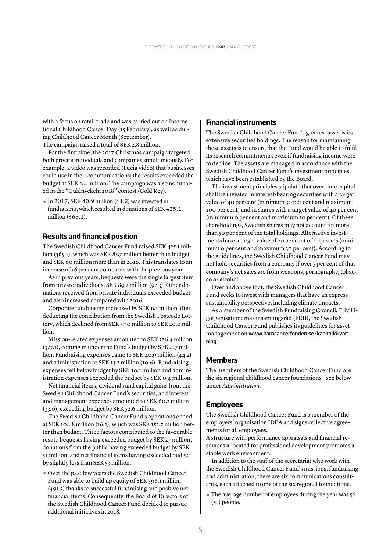with a focus on retail trade and was carried out on International Childhood Cancer Day (15 February), as well as during Childhood Cancer Month (September).

The campaign raised a total of SEK 2.8 million.

For the first time, the 2017 Christmas campaign targeted both private individuals and companies simultaneously. For example, a video was recorded (Lucia video) that businesses could use in their communications; the results exceeded the budget at SEK 2.4 million. The campaign was also nominated in the "Guldnyckeln 2018" contest (Gold Key).

 $\bullet$  In 2017, SEK 40.9 million (44.2) was invested in fundraising, which resulted in donations of SEK 425.1 million (365.1).

#### **Results and financial position**

The Swedish Childhood Cancer Fund raised SEK 425.1 million (365.1), which was SEK 85.7 million better than budget and SEK 60 million more than in 2016. This translates to an increase of 16 per cent compared with the previous year.

As in previous years, bequests were the single largest item from private individuals, SEK 89.2 million (92.3). Other donations received from private individuals exceeded budget and also increased compared with 2016.

Corporate fundraising increased by SEK 6.1 million after deducting the contribution from the Swedish Postcode Lottery, which declined from SEK 37.0 million to SEK 20.0 million.

Mission-related expenses amounted to SEK 326.4 million (327.1), coming in under the Fund's budget by SEK 4.7 million. Fundraising expenses came to SEK 40.9 million (44.2) and administration to SEK 13.2 million (10.6). Fundraising expenses fell below budget by SEK 10.1 million and administration expenses exceeded the budget by SEK 0.4 million.

Net financial items, dividends and capital gains from the Swedish Childhood Cancer Fund's securities, and interest and management expenses amounted to SEK 60.2 million (33.0), exceeding budget by SEK 52.6 million.

The Swedish Childhood Cancer Fund's operations ended at SEK 104.8 million (16.2), which was SEK 152.7 million better than budget. Three factors contributed to the favourable result: bequests having exceeded budget by SEK 27 million, donations from the public having exceeded budget by SEK 51 million, and net financial items having exceeded budget by slightly less than SEK 53 million.

• Over the past few years the Swedish Childhood Cancer Fund was able to build up equity of SEK 596.1 million (491.3) thanks to successful fundraising and positive net financial items. Consequently, the Board of Directors of the Swedish Childhood Cancer Fund decided to pursue additional initiatives in 2018.

### **Financial instruments**

The Swedish Childhood Cancer Fund's greatest asset is its extensive securities holdings. The reason for maintaining these assets is to ensure that the Fund would be able to fulfil its research commitments, even if fundraising income were to decline. The assets are managed in accordance with the Swedish Childhood Cancer Fund's investment principles, which have been established by the Board.

The investment principles stipulate that over time capital shall be invested in interest-bearing securities with a target value of 40 per cent (minimum 30 per cent and maximum 100 per cent) and in shares with a target value of 40 per cent (minimum 0 per cent and maximum 50 per cent). Of these shareholdings, Swedish shares may not account for more than 50 per cent of the total holdings. Alternative investments have a target value of 20 per cent of the assets (minimum 0 per cent and maximum 30 per cent). According to the guidelines, the Swedish Childhood Cancer Fund may not hold securities from a company if over 5 per cent of that company's net sales are from weapons, pornography, tobacco or alcohol.

Over and above that, the Swedish Childhood Cancer Fund seeks to invest with managers that have an express sustainability perspective, including climate impacts.

As a member of the Swedish Fundraising Council, Frivilligorganisationernas insamlingsråd (FRII), the Swedish Childhood Cancer Fund publishes its guidelines for asset management on www.barncancerfonden.se/kapitalförvaltning.

### **Members**

The members of the Swedish Childhood Cancer Fund are the six regional childhood cancer foundations – see below under *Administration.*

### **Employees**

The Swedish Childhood Cancer Fund is a member of the employers' organisation IDEA and signs collective agreements for all employees.

A structure with performance appraisals and financial resources allocated for professional development promotes a stable work environment.

In addition to the staff of the secretariat who work with the Swedish Childhood Cancer Fund's missions, fundraising and administration, there are six communications consultants, each attached to one of the six regional foundations.

 $\bullet$  The average number of employees during the year was 56 (52) people.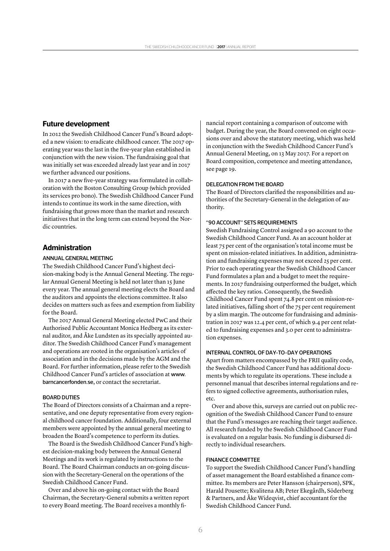### **Future development**

In 2012 the Swedish Childhood Cancer Fund's Board adopted a new vision: to eradicate childhood cancer. The 2017 operating year was the last in the five-year plan established in conjunction with the new vision. The fundraising goal that was initially set was exceeded already last year and in 2017 we further advanced our positions.

In 2017 a new five-year strategy was formulated in collaboration with the Boston Consulting Group (which provided its services pro bono). The Swedish Childhood Cancer Fund intends to continue its work in the same direction, with fundraising that grows more than the market and research initiatives that in the long term can extend beyond the Nordic countries.

## **Administration**

#### ANNUAL GENERAL MEETING

The Swedish Childhood Cancer Fund's highest decision-making body is the Annual General Meeting. The regular Annual General Meeting is held not later than 15 June every year. The annual general meeting elects the Board and the auditors and appoints the elections committee. It also decides on matters such as fees and exemption from liability for the Board.

The 2017 Annual General Meeting elected PwC and their Authorised Public Accountant Monica Hedberg as its external auditor, and Åke Lundsten as its specially appointed auditor. The Swedish Childhood Cancer Fund's management and operations are rooted in the organisation's articles of association and in the decisions made by the AGM and the Board. For further information, please refer to the Swedish Childhood Cancer Fund's articles of association at www. barncancerfonden.se, or contact the secretariat.

### BOARD DUTIES

The Board of Directors consists of a Chairman and a representative, and one deputy representative from every regional childhood cancer foundation. Additionally, four external members were appointed by the annual general meeting to broaden the Board's competence to perform its duties.

The Board is the Swedish Childhood Cancer Fund's highest decision-making body between the Annual General Meetings and its work is regulated by instructions to the Board. The Board Chairman conducts an on-going discussion with the Secretary-General on the operations of the Swedish Childhood Cancer Fund.

Over and above his on-going contact with the Board Chairman, the Secretary-General submits a written report to every Board meeting. The Board receives a monthly financial report containing a comparison of outcome with budget. During the year, the Board convened on eight occasions over and above the statutory meeting, which was held in conjunction with the Swedish Childhood Cancer Fund's Annual General Meeting, on 13 May 2017. For a report on Board composition, competence and meeting attendance, see page 19.

#### DELEGATION FROM THE BOARD

The Board of Directors clarified the responsibilities and authorities of the Secretary-General in the delegation of authority.

#### "90 ACCOUNT" SETS REQUIREMENTS

Swedish Fundraising Control assigned a 90 account to the Swedish Childhood Cancer Fund. As an account holder at least 75 per cent of the organisation's total income must be spent on mission-related initiatives. In addition, administration and fundraising expenses may not exceed 25 per cent. Prior to each operating year the Swedish Childhood Cancer Fund formulates a plan and a budget to meet the requirements. In 2017 fundraising outperformed the budget, which affected the key ratios. Consequently, the Swedish Childhood Cancer Fund spent 74.8 per cent on mission-related initiatives, falling short of the 75 per cent requirement by a slim margin. The outcome for fundraising and administration in 2017 was 12.4 per cent, of which 9.4 per cent related to fundraising expenses and 3.0 per cent to administration expenses.

#### INTERNAL CONTROL OF DAY-TO-DAY OPERATIONS

Apart from matters encompassed by the FRII quality code, the Swedish Childhood Cancer Fund has additional documents by which to regulate its operations. These include a personnel manual that describes internal regulations and refers to signed collective agreements, authorisation rules, etc.

Over and above this, surveys are carried out on public recognition of the Swedish Childhood Cancer Fund to ensure that the Fund's messages are reaching their target audience. All research funded by the Swedish Childhood Cancer Fund is evaluated on a regular basis. No funding is disbursed directly to individual researchers.

#### FINANCE COMMITTEE

To support the Swedish Childhood Cancer Fund's handling of asset management the Board established a finance committee. Its members are Peter Hansson (chairperson), SPK, Harald Pousette; Kvalitena AB; Peter Ekegårdh, Söderberg & Partners, and Åke Wideqvist, chief accountant for the Swedish Childhood Cancer Fund.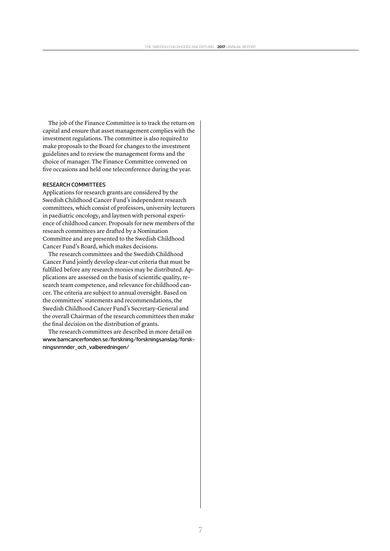The job of the Finance Committee is to track the return on capital and ensure that asset management complies with the investment regulations. The committee is also required to make proposals to the Board for changes to the investment guidelines and to review the management forms and the choice of manager. The Finance Committee convened on five occasions and held one teleconference during the year.

#### RESEARCH COMMITTEES

Applications for research grants are considered by the Swedish Childhood Cancer Fund's independent research committees, which consist of professors, university lecturers in paediatric oncology, and laymen with personal experience of childhood cancer. Proposals for new members of the research committees are drafted by a Nomination Committee and are presented to the Swedish Childhood Cancer Fund's Board, which makes decisions.

The research committees and the Swedish Childhood Cancer Fund jointly develop clear-cut criteria that must be fulfilled before any research monies may be distributed. Applications are assessed on the basis of scientific quality, research team competence, and relevance for childhood cancer. The criteria are subject to annual oversight. Based on the committees' statements and recommendations, the Swedish Childhood Cancer Fund's Secretary-General and the overall Chairman of the research committees then make the final decision on the distribution of grants.

The research committees are described in more detail on www.barncancerfonden.se/forskning/forskningsanslag/forskningsnmnder\_och\_valberedningen/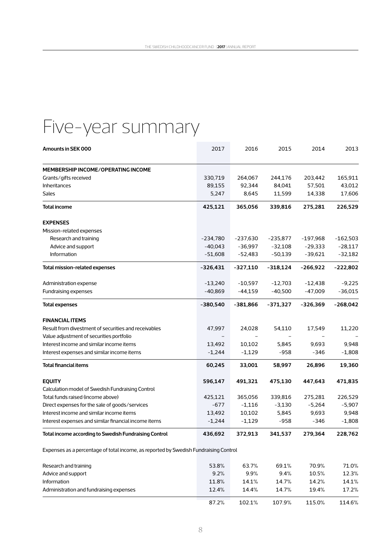## Five-year summary

| Amounts in SEK 000                                    | 2017                     | 2016                     | 2015       | 2014       | 2013       |
|-------------------------------------------------------|--------------------------|--------------------------|------------|------------|------------|
| <b>MEMBERSHIP INCOME/OPERATING INCOME</b>             |                          |                          |            |            |            |
| Grants/gifts received                                 | 330,719                  | 264,067                  | 244,176    | 203,442    | 165,911    |
| Inheritances                                          | 89,155                   | 92,344                   | 84,041     | 57,501     | 43,012     |
| <b>Sales</b>                                          | 5,247                    | 8,645                    | 11,599     | 14,338     | 17,606     |
| <b>Total income</b>                                   | 425,121                  | 365,056                  | 339,816    | 275,281    | 226,529    |
| <b>EXPENSES</b>                                       |                          |                          |            |            |            |
| Mission-related expenses                              |                          |                          |            |            |            |
| Research and training                                 | $-234,780$               | $-237,630$               | $-235,877$ | $-197,968$ | $-162,503$ |
| Advice and support                                    | $-40,043$                | $-36,997$                | $-32,108$  | $-29,333$  | $-28,117$  |
| Information                                           | $-51,608$                | $-52,483$                | $-50,139$  | $-39,621$  | $-32,182$  |
| Total mission-related expenses                        | $-326,431$               | $-327,110$               | $-318,124$ | $-266,922$ | $-222,802$ |
| Administration expense                                | $-13,240$                | $-10,597$                | $-12,703$  | $-12,438$  | $-9,225$   |
| Fundraising expenses                                  | $-40,869$                | $-44,159$                | $-40,500$  | $-47,009$  | $-36,015$  |
| <b>Total expenses</b>                                 | $-380,540$               | $-381,866$               | $-371,327$ | $-326,369$ | $-268,042$ |
| <b>FINANCIAL ITEMS</b>                                |                          |                          |            |            |            |
| Result from divestment of securities and receivables  | 47,997                   | 24,028                   | 54,110     | 17,549     | 11,220     |
| Value adjustment of securities portfolio              | $\overline{\phantom{0}}$ | $\overline{\phantom{0}}$ | L.         |            |            |
| Interest income and similar income items              | 13,492                   | 10,102                   | 5,845      | 9,693      | 9,948      |
| Interest expenses and similar income items            | $-1,244$                 | $-1,129$                 | $-958$     | -346       | $-1,808$   |
| Total financial items                                 | 60,245                   | 33,001                   | 58,997     | 26,896     | 19,360     |
| <b>EQUITY</b>                                         | 596,147                  | 491,321                  | 475,130    | 447,643    | 471,835    |
| Calculation model of Swedish Fundraising Control      |                          |                          |            |            |            |
| Total funds raised (income above)                     | 425,121                  | 365,056                  | 339,816    | 275,281    | 226,529    |
| Direct expenses for the sale of goods/services        | $-677$                   | $-1,116$                 | $-3,130$   | $-5,264$   | $-5,907$   |
| Interest income and similar income items              | 13,492                   | 10,102                   | 5,845      | 9,693      | 9,948      |
| Interest expenses and similar financial income items  | $-1,244$                 | $-1,129$                 | $-958$     | $-346$     | $-1,808$   |
| Total income according to Swedish Fundraising Control | 436,692                  | 372,913                  | 341,537    | 279,364    | 228,762    |

Expenses as a percentage of total income, as reported by Swedish Fundraising Control

|                                         | 87.2% | 102.1% | 107.9% | 115.0% | 114.6% |
|-----------------------------------------|-------|--------|--------|--------|--------|
| Administration and fundraising expenses | 12.4% | 14.4%  | 147%   | 19.4%  | 17.2%  |
| Information                             | 11.8% | 14.1%  | 147%   | 14.2%  | 14.1%  |
| Advice and support                      | 9.2%  | 9.9%   | 9.4%   | 10.5%  | 12.3%  |
| Research and training                   | 53.8% | 63.7%  | 69.1%  | 70.9%  | 71.0%  |
|                                         |       |        |        |        |        |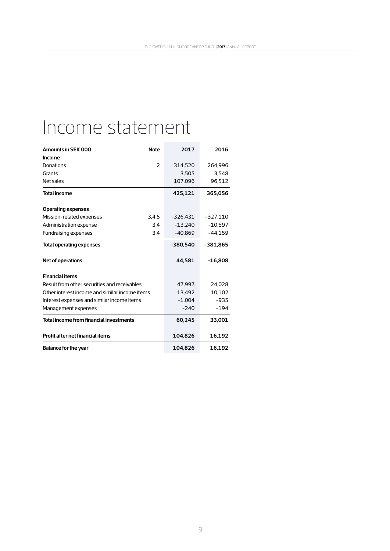## Income statement

| Amounts in SEK 000                             | <b>Note</b> | 2017       | 2016       |
|------------------------------------------------|-------------|------------|------------|
| Income                                         |             |            |            |
| Donations                                      | 2           | 314,520    | 264,996    |
| Grants                                         |             | 3.505      | 3,548      |
| Net sales                                      |             | 107,096    | 96,512     |
| <b>Total income</b>                            |             | 425,121    | 365,056    |
| <b>Operating expenses</b>                      |             |            |            |
| Mission-related expenses                       | 3,4,5       | $-326,431$ | $-327,110$ |
| Administration expense                         | 3,4         | $-13,240$  | $-10,597$  |
| Fundraising expenses                           | 3.4         | $-40.869$  | $-44,159$  |
| <b>Total operating expenses</b>                |             | -380.540   | $-381.865$ |
| Net of operations                              |             | 44.581     | $-16.808$  |
| <b>Financial items</b>                         |             |            |            |
| Result from other securities and receivables   |             | 47,997     | 24,028     |
| Other interest income and similar income items |             | 13,492     | 10,102     |
| Interest expenses and similar income items     |             | $-1,004$   | $-935$     |
| Management expenses                            |             | $-240$     | $-194$     |
| Total income from financial investments        |             | 60,245     | 33,001     |
| Profit after net financial items               |             | 104.826    | 16,192     |
| <b>Balance for the year</b>                    |             | 104.826    | 16,192     |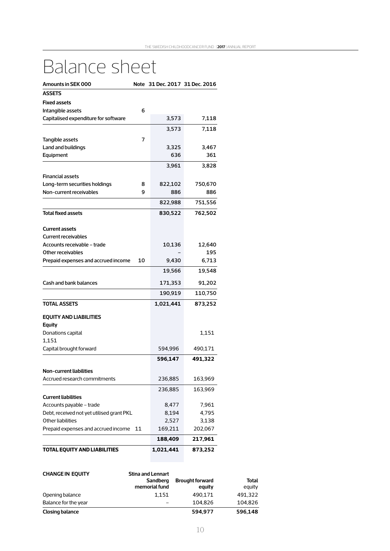## Balance sheet

| Amounts in SEK 000                        |    | Note 31 Dec. 2017 31 Dec. 2016 |         |
|-------------------------------------------|----|--------------------------------|---------|
| <b>ASSETS</b>                             |    |                                |         |
| <b>Fixed assets</b>                       |    |                                |         |
| Intangible assets                         | 6  |                                |         |
| Capitalised expenditure for software      |    | 3,573                          | 7,118   |
|                                           |    | 3,573                          | 7,118   |
| Tangible assets                           | 7  |                                |         |
| Land and buildings                        |    | 3,325                          | 3,467   |
| Equipment                                 |    | 636                            | 361     |
|                                           |    | 3,961                          | 3,828   |
| <b>Financial assets</b>                   |    |                                |         |
| Long-term securities holdings             | 8  | 822,102                        | 750,670 |
| Non-current receivables                   | 9  | 886                            | 886     |
|                                           |    | 822,988                        | 751,556 |
| <b>Total fixed assets</b>                 |    | 830,522                        | 762,502 |
|                                           |    |                                |         |
| <b>Current assets</b>                     |    |                                |         |
| <b>Current receivables</b>                |    |                                |         |
| Accounts receivable – trade               |    | 10,136                         | 12,640  |
| Other receivables                         |    |                                | 195     |
| Prepaid expenses and accrued income       | 10 | 9,430                          | 6,713   |
|                                           |    | 19,566                         | 19,548  |
| Cash and bank balances                    |    | 171,353                        | 91,202  |
|                                           |    | 190,919                        | 110,750 |
| <b>TOTAL ASSETS</b>                       |    | 1,021,441                      | 873,252 |
| <b>EQUITY AND LIABILITIES</b>             |    |                                |         |
| <b>Equity</b>                             |    |                                |         |
| Donations capital                         |    |                                | 1,151   |
| 1.151                                     |    |                                |         |
| Capital brought forward                   |    | 594,996                        | 490,171 |
|                                           |    | 596,147                        | 491,322 |
| <b>Non-current liabilities</b>            |    |                                |         |
| Accrued research commitments              |    | 236,885                        | 163,969 |
|                                           |    | 236,885                        | 163,969 |
| <b>Current liabilities</b>                |    |                                |         |
| Accounts payable - trade                  |    | 8,477                          | 7,961   |
| Debt, received not yet utilised grant PKL |    | 8,194                          | 4,795   |
| Other liabilities                         |    | 2,527                          | 3,138   |
| Prepaid expenses and accrued income       | 11 | 169,211                        | 202,067 |
|                                           |    | 188,409                        | 217,961 |
| <b>TOTAL EQUITY AND LIABILITIES</b>       |    | 1,021,441                      | 873,252 |

| <b>CHANGE IN EQUITY</b> | <b>Stina and Lennart</b><br>Sandberg<br>memorial fund | <b>Brought forward</b><br>equity | Total<br>equity |
|-------------------------|-------------------------------------------------------|----------------------------------|-----------------|
| Opening balance         | 1.151                                                 | 490.171                          | 491.322         |
| Balance for the year    | -                                                     | 104.826                          | 104.826         |
| Closing balance         |                                                       | 594.977                          | 596,148         |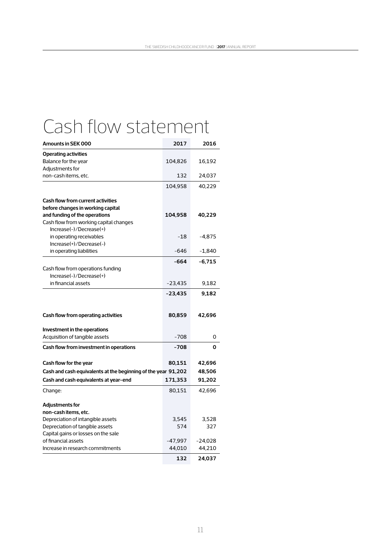## Cash flow statement

| Amounts in SEK 000                                            | 2017    | 2016      |
|---------------------------------------------------------------|---------|-----------|
| <b>Operating activities</b>                                   |         |           |
| Balance for the year                                          | 104,826 | 16,192    |
| Adiustments for                                               |         |           |
| non-cash items, etc.                                          | 132     | 24,037    |
|                                                               | 104,958 | 40,229    |
| <b>Cash flow from current activities</b>                      |         |           |
| before changes in working capital                             |         |           |
| and funding of the operations                                 | 104,958 | 40,229    |
| Cash flow from working capital changes                        |         |           |
| $Increase(-)/Decrease(+)$                                     |         |           |
| in operating receivables                                      | $-18$   | -4,875    |
| Increase(+)/Decrease(-)                                       |         |           |
| in operating liabilities                                      | $-646$  | -1,840    |
|                                                               | -664    | -6,715    |
| Cash flow from operations funding                             |         |           |
| $Increase(-)/Decrease(+)$                                     |         |           |
| in financial assets                                           | -23,435 | 9,182     |
|                                                               | -23,435 | 9,182     |
|                                                               |         |           |
| Cash flow from operating activities                           | 80,859  | 42,696    |
| Investment in the operations                                  |         |           |
| Acquisition of tangible assets                                | -708    | 0         |
| Cash flow from investment in operations                       | $-708$  | 0         |
| Cash flow for the year                                        | 80,151  | 42,696    |
| Cash and cash equivalents at the beginning of the year 91,202 |         | 48,506    |
| Cash and cash equivalents at year-end                         | 171,353 | 91,202    |
| Change:                                                       | 80,151  | 42,696    |
| <b>Adjustments for</b>                                        |         |           |
| non-cash items, etc.                                          |         |           |
| Depreciation of intangible assets                             | 3,545   | 3,528     |
| Depreciation of tangible assets                               | 574     | 327       |
| Capital gains or losses on the sale                           |         |           |
| of financial assets                                           | -47,997 | $-24,028$ |
| Increase in research commitments                              | 44,010  | 44,210    |
|                                                               | 132     | 24,037    |
|                                                               |         |           |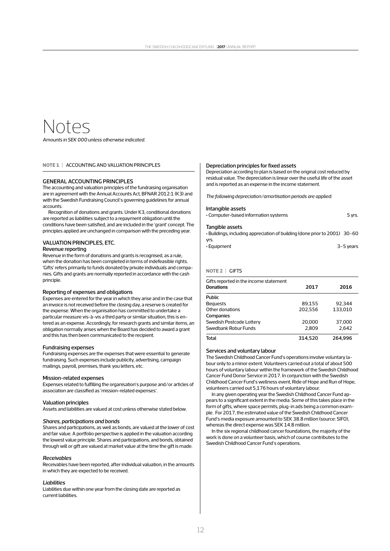## Notes

*Amounts in SEK 000 unless otherwise indicated.*

#### **NOTE 1** | ACCOUNTING AND VALUATION PRINCIPLES

#### GENERAL ACCOUNTING PRINCIPLES

The accounting and valuation principles of the fundraising organisation are in agreement with the Annual Accounts Act, BFNAR 2012:1 (K3) and with the Swedish Fundraising Council's governing guidelines for annual accounts.

Recognition of donations and grants. Under K3, conditional donations are reported as liabilities subject to a repayment obligation until the conditions have been satisfied, and are included in the 'grant' concept. The principles applied are unchanged in comparison with the preceding year.

#### VALUATION PRINCIPLES, ETC.

#### Revenue reporting

Revenue in the form of donations and grants is recognised, as a rule, when the donation has been completed in terms of indefeasible rights. 'Gifts' refers primarily to funds donated by private individuals and companies. Gifts and grants are normally reported in accordance with the cash principle.

#### Reporting of expenses and obligations

Expenses are entered for the year in which they arise and in the case that an invoice is not received before the closing day, a reserve is created for the expense. When the organisation has committed to undertake a particular measure vis-à-vis a third party or similar situation, this is entered as an expense. Accordingly, for research grants and similar items, an obligation normally arises when the Board has decided to award a grant and this has then been communicated to the recipient.

#### Fundraising expenses

Fundraising expenses are the expenses that were essential to generate fundraising. Such expenses include publicity, advertising, campaign mailings, payroll, premises, thank you letters, etc.

#### Mission-related expenses

Expenses related to fulfilling the organisation's purpose and/or articles of association are classified as 'mission-related expenses'.

#### Valuation principles

Assets and liabilities are valued at cost unless otherwise stated below.

#### *Shares, participations and bonds*

Shares and participations, as well as bonds, are valued at the lower of cost and fair value. A portfolio perspective is applied in the valuation according the lowest value principle. Shares and participations, and bonds, obtained through will or gift are valued at market value at the time the gift is made.

#### *Receivables*

Receivables have been reported, after individual valuation, in the amounts in which they are expected to be received.

#### *Liabilities*

Liabilities due within one year from the closing date are reported as current liabilities.

#### Depreciation principles for fixed assets

Depreciation according to plan is based on the original cost reduced by residual value. The depreciation is linear over the useful life of the asset and is reported as an expense in the income statement.

*The following depreciation/amortisation periods are applied:*

#### Intangible assets

| • Computer-based information systems | 5 yrs. |
|--------------------------------------|--------|
|                                      |        |

Tangible assets • Buildings, including appreciation of building (done prior to 2001) 30–60 yrs.

| $\cdot$ Equipment | 3-5 years |
|-------------------|-----------|
|-------------------|-----------|

#### **NOTE 2** | GIFTS

| Gifts reported in the income statement<br><b>Donations</b> | 2017    | 2016    |
|------------------------------------------------------------|---------|---------|
| <b>Public</b>                                              |         |         |
| <b>Bequests</b>                                            | 89,155  | 92.344  |
| Other donations                                            | 202.556 | 133.010 |
| Companies                                                  |         |         |
| Swedish Postcode Lottery                                   | 20.000  | 37.000  |
| Swedbank Robur Funds                                       | 2.809   | 2.642   |
| <b>Total</b>                                               | 314.520 | 264.996 |

#### Services and voluntary labour

The Swedish Childhood Cancer Fund's operations involve voluntary labour only to a minor extent. Volunteers carried out a total of about 500 hours of voluntary labour within the framework of the Swedish Childhood Cancer Fund Donor Service in 2017. In conjunction with the Swedish Childhood Cancer Fund's wellness event, Ride of Hope and Run of Hope, volunteers carried out 5,176 hours of voluntary labour.

In any given operating year the Swedish Childhood Cancer Fund appears to a significant extent in the media. Some of this takes place in the form of gifts, where space permits, plug-in ads being a common example. For 2017, the estimated value of the Swedish Childhood Cancer Fund's media exposure amounted to SEK 38.8 million (source: SIFO), whereas the direct expense was SEK 14.8 million.

In the six regional childhood cancer foundations, the majority of the work is done on a volunteer basis, which of course contributes to the Swedish Childhood Cancer Fund's operations.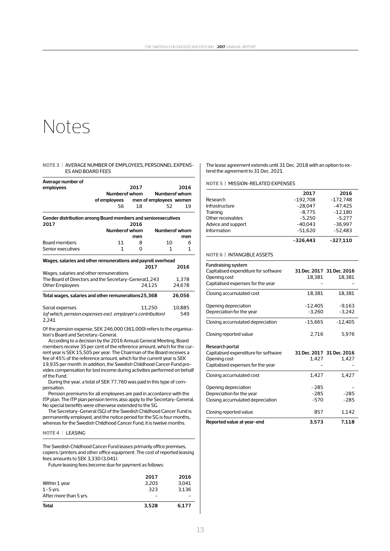## Notes

#### **NOTE 3** | AVERAGE NUMBER OF EMPLOYEES, PERSONNEL EXPENS-ES AND BOARD FEES

| Average number of                                                   |               |      |                        |                      |
|---------------------------------------------------------------------|---------------|------|------------------------|----------------------|
| employees                                                           |               | 2017 |                        | 2016                 |
|                                                                     | Numberof whom |      |                        | <b>Numberof whom</b> |
|                                                                     | of employees  |      | men of employees women |                      |
|                                                                     | 56            | 18   | 52                     | 19                   |
| Gender distribution among Board members and seniorexecutives        |               |      |                        |                      |
| 2017                                                                |               | 2016 |                        |                      |
|                                                                     | Numberof whom |      |                        | Numberof whom        |
|                                                                     |               | men  |                        | men                  |
| Board members                                                       | 11            | 8    | 10                     | 6                    |
| Senior executives                                                   | 1             | 0    | 1                      | 1                    |
| Wages, salaries and other remunerations and payroll overhead        |               |      |                        |                      |
|                                                                     |               |      | 2017                   | 2016                 |
| Wages, salaries and other remunerations                             |               |      |                        |                      |
| The Board of Directors and the Secretary-General1,243               |               |      |                        | 1,378                |
| Other Employees                                                     |               |      | 24.125                 | 24,678               |
| Total wages, salaries and other remunerations 25,368                |               |      |                        | 26,056               |
| Social expenses                                                     |               |      | 11,250                 | 10,885               |
| (of which, pension expenses excl. employer's contribution)<br>2,241 |               |      |                        | 549                  |
|                                                                     |               |      |                        |                      |

Of the pension expense, SEK 246,000 (361,000) refers to the organisation's Board and Secretary-General.

According to a decision by the 2016 Annual General Meeting, Board members receive 35 per cent of the reference amount, which for the current year is SEK 15,505 per year. The Chairman of the Board receives a fee of 45% of the reference amount, which for the current year is SEK 19,935 per month. In addition, the Swedish Childhood Cancer Fund provides compensation for lost income during activities performed on behalf of the Fund.

During the year, a total of SEK 77,760 was paid in this type of compensation.

Pension premiums for all employees are paid in accordance with the ITP plan. The ITP plan pension terms also apply to the Secretary-General. No special benefits were otherwise extended to the SG.

The Secretary-General (SG) of the Swedish Childhood Cancer Fund is permanently employed, and the notice period for the SG is four months, whereas for the Swedish Childhood Cancer Fund, it is twelve months.

#### **NOTE 4** | LEASING

The Swedish Childhood Cancer Fund leases primarily office premises, copiers/printers and other office equipment. The cost of reported leasing fees amounts to SEK 3,330 (3,041).

Future leasing fees become due for payment as follows:

| 323   | 3.136 |
|-------|-------|
| 3.205 | 3.041 |
| 2017  | 2016  |
|       |       |

The lease agreement extends until 31 Dec. 2018 with an option to extend the agreement to 31 Dec. 2021.

#### **NOTE 5** | MISSION-RELATED EXPENSES

|                                      | 2017       | 2016                      |
|--------------------------------------|------------|---------------------------|
| Research                             | $-192,708$ | $-172,748$                |
| Infrastructure                       | $-28,047$  | $-47,425$                 |
| Training                             | $-8,775$   | $-12,180$                 |
| Other receivables                    | $-5,250$   | $-5,277$                  |
| Advice and support                   | $-40,043$  | $-36,997$                 |
| Information                          | $-51,620$  | $-52,483$                 |
|                                      | $-326.443$ | $-327,110$                |
| <b>NOTE 6   INTANGIBLE ASSETS</b>    |            |                           |
| <b>Fundraising system</b>            |            |                           |
| Capitalised expenditure for software |            | 31 Dec. 2017 31 Dec. 2016 |
| Opening cost                         | 18,381     | 18,381                    |
| Capitalised expenses for the year    |            |                           |
| Closing accumulated cost             | 18,381     | 18,381                    |
| Opening depreciation                 | $-12,405$  | $-9,163$                  |
| Depreciation for the year            | $-3,260$   | $-3,242$                  |
| Closing accumulated depreciation     | $-15,665$  | $-12,405$                 |
| Closing reported value               | 2,716      | 5,976                     |
| Research portal                      |            |                           |
| Capitalised expenditure for software |            | 31 Dec. 2017 31 Dec. 2016 |
| Opening cost                         | 1,427      | 1,427                     |
| Capitalised expenses for the year    |            |                           |
| Closing accumulated cost             | 1,427      | 1,427                     |
| Opening depreciation                 | - 285      |                           |
| Depreciation for the year            | $-285$     | $-285$                    |
| Closing accumulated depreciation     | $-570$     | $-285$                    |
| Closing reported value               | 857        | 1,142                     |
| Reported value at year-end           | 3,573      | 7,118                     |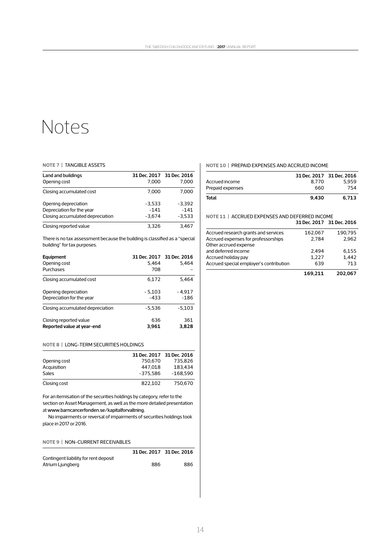## Notes

#### **NOTE 7** | TANGIBLE ASSETS

| Land and buildings               |          | 31 Dec. 2017 31 Dec. 2016 |
|----------------------------------|----------|---------------------------|
| Opening cost                     | 7.000    | 7.000                     |
| Closing accumulated cost         | 7.000    | 7.000                     |
| Opening depreciation             | $-3.533$ | $-3.392$                  |
| Depreciation for the year        | $-141$   | $-141$                    |
| Closing accumulated depreciation | $-3.674$ | $-3.533$                  |
| Closing reported value           | 3.326    | 3.467                     |

There is no tax assessment because the building is classified as a "special building" for tax purposes.

| Equipment<br>Opening cost<br>Purchases               | 31 Dec. 2017 31 Dec. 2016<br>5.464<br>708 | 5.464            |
|------------------------------------------------------|-------------------------------------------|------------------|
| Closing accumulated cost                             | 6.172                                     | 5.464            |
| Opening depreciation<br>Depreciation for the year    | $-5.103$<br>-433                          | -4.917<br>$-186$ |
| Closing accumulated depreciation                     | $-5.536$                                  | $-5.103$         |
| Closing reported value<br>Reported value at year-end | 636<br>3.961                              | 361<br>3.828     |

#### **NOTE 8** | LONG-TERM SECURITIES HOLDINGS

|              | 31 Dec. 2017 31 Dec. 2016 |            |
|--------------|---------------------------|------------|
| Opening cost | 750.670                   | 735.826    |
| Acquisition  | 447.018                   | 183.434    |
| <b>Sales</b> | $-375.586$                | $-168.590$ |
| Closing cost | 822.102                   | 750.670    |

For an itemisation of the securities holdings by category, refer to the section on Asset Management, as well as the more detailed presentation at www.barncancerfonden.se/kapitalforvaltning.

No impairments or reversal of impairments of securities holdings took place in 2017 or 2016.

#### **NOTE 9** | NON-CURRENT RECEIVABLES

|                                       | 31 Dec. 2017 31 Dec. 2016 |     |
|---------------------------------------|---------------------------|-----|
| Contingent liability for rent deposit |                           |     |
| Atrium Liungberg                      | 886                       | 886 |

#### **NOTE 10** | PREPAID EXPENSES AND ACCRUED INCOME

|                  |       | 31 Dec. 2017 31 Dec. 2016 |
|------------------|-------|---------------------------|
| Accrued income   | 8.770 | 5.959                     |
| Prepaid expenses | 660   | 754                       |
| Total            | 9.430 | 6.713                     |

#### **NOTE 11** | ACCRUED EXPENSES AND DEFERRED INCOME **31 Dec. 2017 31 Dec. 2016**

|                                         | 169.211    | 202.067 |
|-----------------------------------------|------------|---------|
| Accrued special employer's contribution | 713<br>639 |         |
| Accrued holiday pay                     | 1.227      | 1.442   |
| and deferred income                     | 2.494      | 6.155   |
| Other accrued expense                   |            |         |
| Accrued expenses for professorships     | 2.784      | 2.962   |
| Accrued research grants and services    | 162.067    | 190,795 |
|                                         |            |         |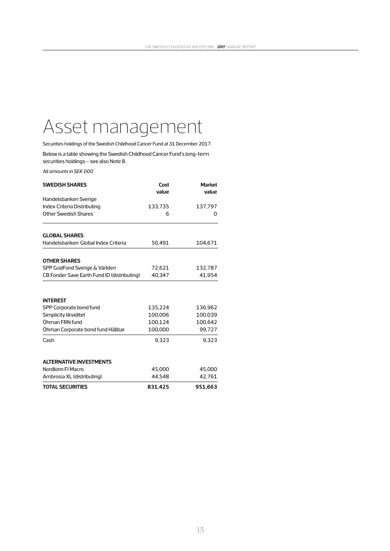## Asset management

Securities holdings of the Swedish Childhood Cancer Fund at 31 December 2017.

Below is a table showing the Swedish Childhood Cancer Fund's long-term securities holdings – see also Note 8.

*All amounts in SEK 000*

| <b>SWEDISH SHARES</b>                       | Cost<br>value | <b>Market</b><br>value |
|---------------------------------------------|---------------|------------------------|
| Handelsbanken Sverige                       |               |                        |
| Index Criteria Distributing                 | 133,735       | 137,797                |
| <b>Other Swedish Shares</b>                 | 6             | Ω                      |
| <b>GLOBAL SHARES</b>                        |               |                        |
| Handelsbanken Global Index Criteria         | 50,491        | 104,671                |
| <b>OTHER SHARES</b>                         |               |                        |
| SPP GodFond Sverige & Världen               | 72.621        | 132,787                |
| CB Fonder Save Earth Fund ID (distributing) | 40,347        | 41,954                 |
| <b>INTEREST</b>                             |               |                        |
| SPP Corporate bond fund                     | 135,224       | 136,962                |
| Simplicity likviditet                       | 100,006       | 100,039                |
| Öhman FRN fund                              | 100,124       | 100,642                |
| Ohman Corporate bond fund Hållbar           | 100,000       | 99,727                 |
| Cash                                        | 9,323         | 9,323                  |
| <b>ALTERNATIVE INVESTMENTS</b>              |               |                        |
| Nordkinn FI Macro                           | 45.000        | 45.000                 |
| Ambrosia XL (distributing)                  | 44.548        | 42,761                 |
| <b>TOTAL SECURITIES</b>                     | 831,425       | 951,663                |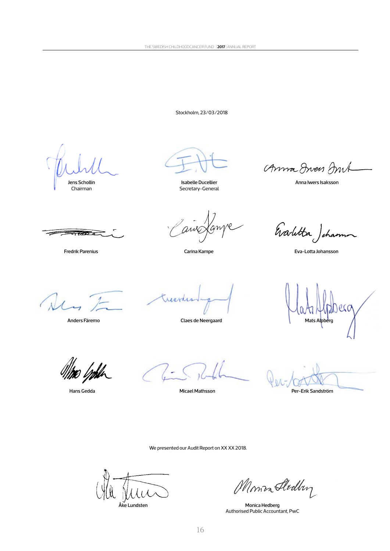Stockholm, 23/03/2018

Jens Schollin Chairman

 $=$  $\pi$  $\sigma$ 

Isabelle Ducellier Secretary-General

Anna Iven Ink

Anna Iwers Isaksson

Evalitta Jehanner

Fredrik Parenius Carina Kampe Eva-Lotta Johansson

treches

Anders Färemo **Claes de Neergaard** Mats Alpberg Mats Alpberg Mats Alpberg Mats Alpberg Mats Alpberg Mats Alpberg

Who Iphle

Hans Gedda Micael Mathsson Per-Erik Sandström

We presented our Audit Report on XX XX 2018.

Momm Sledby

Åke Lundsten Monica Hedberg († 1852) Authorised Public Accountant, PwC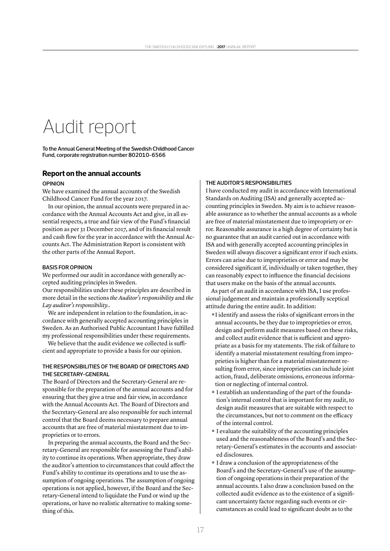## Audit report

To the Annual General Meeting of the Swedish Childhood Cancer Fund, corporate registration number 802010-6566

### **Report on the annual accounts**

### OPINION

We have examined the annual accounts of the Swedish Childhood Cancer Fund for the year 2017.

In our opinion, the annual accounts were prepared in accordance with the Annual Accounts Act and give, in all essential respects, a true and fair view of the Fund's financial position as per 31 December 2017, and of its financial result and cash flow for the year in accordance with the Annual Accounts Act. The Administration Report is consistent with the other parts of the Annual Report.

#### BASIS FOR OPINION

We performed our audit in accordance with generally accepted auditing principles in Sweden.

Our responsibilities under these principles are described in more detail in the sections *the Auditor's responsibility* and *the Lay auditor's responsibility.*.

We are independent in relation to the foundation, in accordance with generally accepted accounting principles in Sweden. As an Authorised Public Accountant I have fulfilled my professional responsibilities under these requirements.

We believe that the audit evidence we collected is sufficient and appropriate to provide a basis for our opinion.

#### THE RESPONSIBILITIES OF THE BOARD OF DIRECTORS AND THE SECRETARY-GENERAL

The Board of Directors and the Secretary-General are responsible for the preparation of the annual accounts and for ensuring that they give a true and fair view, in accordance with the Annual Accounts Act. The Board of Directors and the Secretary-General are also responsible for such internal control that the Board deems necessary to prepare annual accounts that are free of material misstatement due to improprieties or to errors.

In preparing the annual accounts, the Board and the Secretary-General are responsible for assessing the Fund's ability to continue its operations. When appropriate, they draw the auditor's attention to circumstances that could affect the Fund's ability to continue its operations and to use the assumption of ongoing operations. The assumption of ongoing operations is not applied, however, if the Board and the Secretary-General intend to liquidate the Fund or wind up the operations, or have no realistic alternative to making something of this.

### THE AUDITOR'S RESPONSIBILITIES

I have conducted my audit in accordance with International Standards on Auditing (ISA) and generally accepted accounting principles in Sweden. My aim is to achieve reasonable assurance as to whether the annual accounts as a whole are free of material misstatement due to impropriety or error. Reasonable assurance is a high degree of certainty but is no guarantee that an audit carried out in accordance with ISA and with generally accepted accounting principles in Sweden will always discover a significant error if such exists. Errors can arise due to improprieties or error and may be considered significant if, individually or taken together, they can reasonably expect to influence the financial decisions that users make on the basis of the annual accounts.

As part of an audit in accordance with ISA, I use professional judgement and maintain a professionally sceptical attitude during the entire audit. In addition:

- OI identify and assess the risks of significant errors in the annual accounts, be they due to improprieties or error, design and perform audit measures based on these risks, and collect audit evidence that is sufficient and appropriate as a basis for my statements. The risk of failure to identify a material misstatement resulting from improprieties is higher than for a material misstatement resulting from error, since improprieties can include joint action, fraud, deliberate omissions, erroneous information or neglecting of internal control.
- $\bullet$  I establish an understanding of the part of the foundation's internal control that is important for my audit, to design audit measures that are suitable with respect to the circumstances, but not to comment on the efficacy of the internal control.
- $\bullet$  I evaluate the suitability of the accounting principles used and the reasonableness of the Board's and the Secretary-General's estimates in the accounts and associated disclosures.
- O I draw a conclusion of the appropriateness of the Board's and the Secretary-General's use of the assumption of ongoing operations in their preparation of the annual accounts. I also draw a conclusion based on the collected audit evidence as to the existence of a significant uncertainty factor regarding such events or circumstances as could lead to significant doubt as to the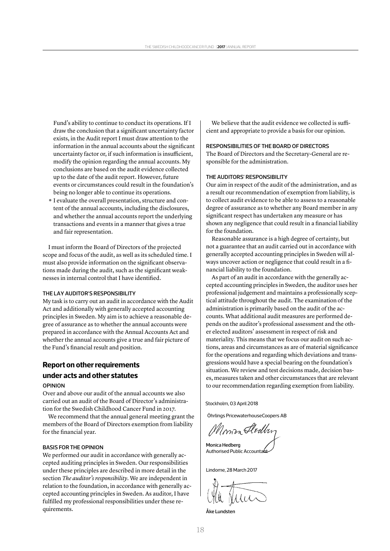Fund's ability to continue to conduct its operations. If I draw the conclusion that a significant uncertainty factor exists, in the Audit report I must draw attention to the information in the annual accounts about the significant uncertainty factor or, if such information is insufficient, modify the opinion regarding the annual accounts. My conclusions are based on the audit evidence collected up to the date of the audit report. However, future events or circumstances could result in the foundation's being no longer able to continue its operations.

 $\bullet$  I evaluate the overall presentation, structure and content of the annual accounts, including the disclosures, and whether the annual accounts report the underlying transactions and events in a manner that gives a true and fair representation.

I must inform the Board of Directors of the projected scope and focus of the audit, as well as its scheduled time. I must also provide information on the significant observations made during the audit, such as the significant weaknesses in internal control that I have identified.

#### THE LAY AUDITOR'S RESPONSIBILITY

My task is to carry out an audit in accordance with the Audit Act and additionally with generally accepted accounting principles in Sweden. My aim is to achieve a reasonable degree of assurance as to whether the annual accounts were prepared in accordance with the Annual Accounts Act and whether the annual accounts give a true and fair picture of the Fund's financial result and position.

## **Report on other requirements**

## **under acts and other statutes**

#### OPINION

Over and above our audit of the annual accounts we also carried out an audit of the Board of Director's administration for the Swedish Childhood Cancer Fund in 2017.

We recommend that the annual general meeting grant the members of the Board of Directors exemption from liability for the financial year.

#### BASIS FOR THE OPINION

We performed our audit in accordance with generally accepted auditing principles in Sweden. Our responsibilities under these principles are described in more detail in the section *The auditor's responsibility*. We are independent in relation to the foundation, in accordance with generally accepted accounting principles in Sweden. As auditor, I have fulfilled my professional responsibilities under these requirements.

We believe that the audit evidence we collected is sufficient and appropriate to provide a basis for our opinion.

#### RESPONSIBILITIES OF THE BOARD OF DIRECTORS

The Board of Directors and the Secretary-General are responsible for the administration.

#### THE AUDITORS' RESPONSIBILITY

Our aim in respect of the audit of the administration, and as a result our recommendation of exemption from liability, is to collect audit evidence to be able to assess to a reasonable degree of assurance as to whether any Board member in any significant respect has undertaken any measure or has shown any negligence that could result in a financial liability for the foundation.

Reasonable assurance is a high degree of certainty, but not a guarantee that an audit carried out in accordance with generally accepted accounting principles in Sweden will always uncover action or negligence that could result in a financial liability to the foundation.

As part of an audit in accordance with the generally accepted accounting principles in Sweden, the auditor uses her professional judgement and maintains a professionally sceptical attitude throughout the audit. The examination of the administration is primarily based on the audit of the accounts. What additional audit measures are performed depends on the auditor's professional assessment and the other elected auditors' assessment in respect of risk and materiality. This means that we focus our audit on such actions, areas and circumstances as are of material significance for the operations and regarding which deviations and transgressions would have a special bearing on the foundation's situation. We review and test decisions made, decision bases, measures taken and other circumstances that are relevant to our recommendation regarding exemption from liability.

Stockholm, 03 April 2018

Öhrlings PricewaterhouseCoopers AB

Monron Fledh

Monica Hedberg Authorised Public Accountant

Lindome, 28 March 2017

Åke Lundsten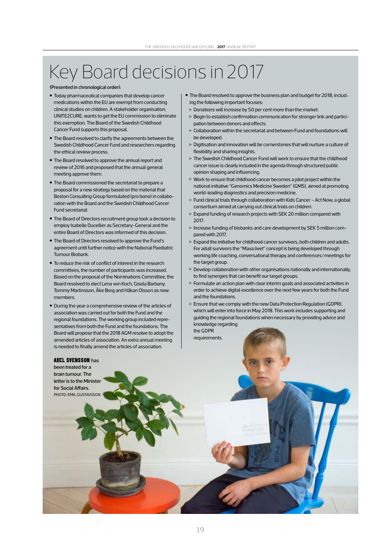## Key Board decisions in 2017

(Presented in chronological order):

- $\bullet$  Today pharmaceutical companies that develop cancer medications within the EU are exempt from conducting clinical studies on children. A stakeholder organisation, UNITE2CURE, wants to get the EU commission to eliminate this exemption. The Board of the Swedish Childhood Cancer Fund supports this proposal.
- The Board resolved to clarify the agreements between the Swedish Childhood Cancer Fund and researchers regarding the ethical review process.
- The Board resolved to approve the annual report and review of 2016 and proposed that the annual general meeting approve them.
- The Board commissioned the secretariat to prepare a proposal for a new strategy based on the material that Boston Consulting Group formulated (pro bono) in collaboration with the Board and the Swedish Childhood Cancer Fund secretariat.
- The Board of Directors recruitment group took a decision to employ Isabelle Ducellier as Secretary-General and the entire Board of Directors was informed of this decision.
- The Board of Directors resolved to approve the Fund's agreement until further notice with the National Paediatric Tumour Biobank.
- O To reduce the risk of conflict of interest in the research committees, the number of participants was increased. Based on the proposal of the Nominations Committee, the Board resolved to elect Lena von Koch, Gisela Barbany, Tommy Martinsson, Åke Borg and Håkan Olsson as new members.
- O During the year a comprehensive review of the articles of association was carried out for both the Fund and the regional foundations. The working group included representatives from both the Fund and the foundations. The Board will propose that the 2018 AGM resolve to adopt the amended articles of association. An extra annual meeting is needed to finally amend the articles of association.

#### AXEL SVENSSON has

been treated for a brain tumour. The letter is to the Minister for Social Affairs. PHOTO: EMIL GUSTAVSSON

- The Board resolved to approve the business plan and budget for 2018, including the following important focuses:
- $\triangleright$  Donations will increase by 50 per cent more than the market.
- **E** Begin to establish confirmation communication for stronger link and participation between donors and effects.
- $\blacktriangleright$  Collaboration within the secretariat and between Fund and foundations will be developed.
- $\blacktriangleright$  Digitisation and innovation will be cornerstones that will nurture a culture of flexibility and sharing insights.
- ► The Swedish Childhood Cancer Fund will work to ensure that the childhood cancer issue is clearly included in the agenda through structured public opinion shaping and influencing.
- $\blacktriangleright$  Work to ensure that childhood cancer becomes a pilot project within the national initiative "Genomics Medicine Sweden" (GMS), aimed at promoting world-leading diagnostics and precision medicine.
- $\blacktriangleright$  Fund clinical trials through collaboration with Kids Cancer Act Now, a global consortium aimed at carrying out clinical trials on children.
- Expand funding of research projects with SEK 20 million compared with 2017.
- $\blacktriangleright$  Increase funding of biobanks and care development by SEK 5 million compared with 2017.
- $\blacktriangleright$  Expand the initiative for childhood cancer survivors, both children and adults. For adult survivors the "Maxa livet" concept is being developed through working life coaching, conversational therapy and conferences/meetings for the target group.
- $\blacktriangleright$  Develop collaboration with other organisations nationally and internationally, to find synergies that can benefit our target groups.
- $\blacktriangleright$  Formulate an action plan with clear interim goals and associated activities in order to achieve digital excellence over the next few years for both the Fund and the foundations.
- $\blacktriangleright$  Ensure that we comply with the new Data Protection Regulation (GDPR), which will enter into force in May 2018. This work includes supporting and guiding the regional foundations when necessary by providing advice and knowledge regarding the GDPR

requirements.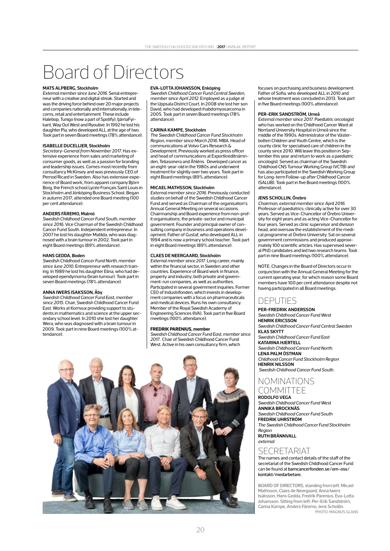## Board of Directors

#### **MATS ALPBERG, Stockholm**

*External member since June 2016.* Serial entrepreneur with a creative and digital streak. Started and was the driving force behind over 20 major projects and companies nationally and internationally, in telecoms, retail and entertainment. These include Halebop, Tunigo (now a part of Spotify), tjärnaFyrkant, Way Out West and Ryoulive. In 1992 he lost his daughter Pia, who developed ALL at the age of two. Took part in seven Board meetings (78% attendance).

#### **ISABELLE DUCELLIER, Stockholm**

*Secretary-General from November 2017.* Has extensive experience from sales and marketing of consumer goods, as well as a passion for branding and leadership issues. Comes most recently from consultancy McKinsey and was previously CEO of Pernod Ricard in Sweden. Also has extensive experience of Board work, from apparel company Björn Borg, the French school Lycée Français Saint Louis in Stockholm and Jönköping Business School. Began in autumn 2017, attended one Board meeting (100 per cent attendance).

#### **ANDERS FÄREMO, Malmö**

*Swedish Childhood Cancer Fund South, member since 2016.* Vice Chairman of the Swedish Childhood Cancer Fund South. Independent entrepreneur. In 2007 he lost his daughter Matilda, who was diagnosed with a brain tumour in 2002. Took part in eight Board meetings (89% attendance).

#### **HANS GEDDA, Boden**

*Swedish Childhood Cancer Fund North, member since June 2010.* Entrepreneur with research training. In 1989 he lost his daughter Elina, who had developed ependymoma (brain tumour). Took part in seven Board meetings (78% attendance).

#### **ANNA IWERS ISAKSSON, Åby**

*Swedish Childhood Cancer Fund East, member since 2015.* Chair, Swedish Childhood Cancer Fund East. Works at Komvux providing support to students in mathematics and science at the upper secondary school level. In 2010 she lost her daughter Wera, who was diagnosed with a brain tumour in 2009. Took part in nine Board meetings (100% attendance).

#### **EVA-LOTTA JOHANSSON, Enköping**

*Swedish Childhood Cancer Fund Central Sweden, member since April 2012*. Employed as a judge at the Uppsala District Court. In 2008 she lost her son David, who had developed rhabdomyosarcoma in 2005. Took part in seven Board meetings (78% attendance).

#### **CARINA KAMPE, Stockholm**

*The Swedish Childhood Cancer Fund Stockholm Region, member since March 2016.* MBA. Head of communications at Volvo Cars Research & Development. Previously worked as press officer and head of communications at Exportkreditnämnden, Teliasonera and Åhléns. Developed cancer as an eight-year-old in the 1980s and underwent treatment for slightly over two years. Took part in eight Board meetings (89% attendance).

#### **MICAEL MATHSSON, Stockholm**

*External member since 2016.* Previously conducted studies on behalf of the Swedish Childhood Cancer Fund and served as Chairman of the organisation's Annual General Meeting on several occasions. Chairmanship and Board experience from non-profit organisations, the private-sector and municipal government. Founder and principal owner of consulting company in business and operations development. Father of Gustaf, who developed ALL in 1994 and is now a primary school teacher. Took part in eight Board meetings (89% attendance).

#### **CLAES DE NEERGAARD, Stockholm**

*External member since 2017.* Long career, mainly within the financial sector, in Sweden and other countries. Experience of Board work in finance, property and industry; both private and government-run companies, as well as authorities. Participated in several government inquiries. Former CEO of Industrifonden, which invests in development companies with a focus on pharmaceuticals and medical devices. Runs his own consultancy. Member of the Royal Swedish Academy of Engineering Sciences (IVA). Took part in five Board meetings (100% attendance).

#### **FREDRIK PARENIUS, member**

*Swedish Childhood Cancer Fund East, member since 2017.* Chair of Swedish Childhood Cancer Fund West. Active in his own consultancy firm, which



focuses on purchasing and business development. Father of Sofia, who developed ALL in 2010 and whose treatment was concluded in 2013. Took part in five Board meetings (100% attendance).

#### **PER-ERIK SANDSTRÖM, Umeå**

*External member since 2017.* Paediatric oncologist who has worked on the Childhood Cancer Ward at Norrland University Hospital in Umeå since the middle of the 1990s. Administrator of the Västerbotten Children and Youth Centre, which is the county clinic for specialised care of children in the county since 2010. Will leave this position in September this year and return to work as a paediatric oncologist. Served as chairman of the Swedish Childhood CNS Tumour Working Group (VCTB) and has also participated in the Swedish Working Group for Long-term Follow-up after Childhood Cancer (SALUB). Took part in five Board meetings (100% attendance).

#### **JENS SCHOLLIN, Örebro**

*Chairman, external member since April 2016.*  Professor of paediatrics; clinically active for over 30 years. Served as Vice-Chancellor of Örebro University for eight years and as acting Vice-Chancellor for four years. Served as clinic supervisor and division head, and oversaw the establishment of the medical programme at Örebro University. Sat on several government commissions and produced approximately 100 scientific articles. Has supervised several PhD candidates and led two research teams. Took part in nine Board meetings (100% attendance).

NOTE: Changes in the Board of Directors occur in conjunction with the Annual General Meeting for the current operating year, for which reason some Board members have 100 per cent attendance despite not having participated in all Board meetings.

## DEPUTIES

**PER-FREDRIK ANDERSSON** *Swedish Childhood Cancer Fund West*  **HENRIK ERICSSON** *Swedish Childhood Cancer Fund Central Sweden* **KLAS SKYTT** *Swedish Childhood Cancer Fund East* **KATARINA HJERTELL** *Swedish Childhood Cancer Fund North.* **LENA PALM ÖSTMAN** *Childhood Cancer Fund Stockholm Region* **HENRIK NILSSON**

*Swedish Childhood Cancer Fund South.*

## NOMINATIONS **COMMITTEE**

### **RODOLFO VEGA**

*Swedish Childhood Cancer Fund West* **ANNIKA BROCKNÄS**  *Swedish Childhood Cancer Fund South* **FREDRIK UHRSTRÖM** *The Swedish Childhood Cancer Fund Stockholm Region* **RUTH BRÄNNVALL**

*external*

## SECRETARIAT

The names and contact details of the staff of the secretariat of the Swedish Childhood Cancer Fund can be found at barncancerfonden.se/om-oss/ kontakt/medarbetare.

BOARD OF DIRECTORS, standing from left: Micael Mathsson, Claes de Neergaard, Anna Iwers Isaksson, Hans Gedda, Fredrik Parenius, Eva-Lotta Johansson. Sitting from left: Per-Erik Sandström, Carina Kampe, Anders Färemo, Jens Schollin. PHOTO: MAGNUS GLANS